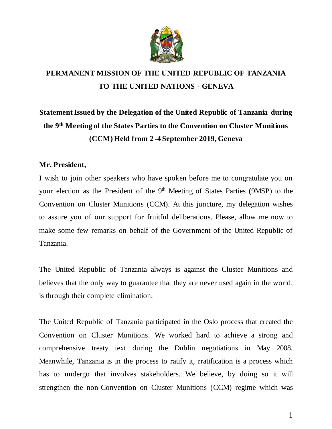

## **PERMANENT MISSION OF THE UNITED REPUBLIC OF TANZANIA TO THE UNITED NATIONS - GENEVA**

# **Statement Issued by the Delegation of the United Republic of Tanzania during the 9th Meeting of the States Parties to the Convention on Cluster Munitions (CCM) Held from 2 -4 September 2019, Geneva**

### **Mr. President,**

I wish to join other speakers who have spoken before me to congratulate you on your election as the President of the 9<sup>th</sup> Meeting of States Parties (9MSP) to the Convention on Cluster Munitions (CCM). At this juncture, my delegation wishes to assure you of our support for fruitful deliberations. Please, allow me now to make some few remarks on behalf of the Government of the United Republic of Tanzania.

The United Republic of Tanzania always is against the Cluster Munitions and believes that the only way to guarantee that they are never used again in the world, is through their complete elimination.

The United Republic of Tanzania participated in the Oslo process that created the Convention on Cluster Munitions. We worked hard to achieve a strong and comprehensive treaty text during the Dublin negotiations in May 2008. Meanwhile, Tanzania is in the process to ratify it, rratification is a process which has to undergo that involves stakeholders. We believe, by doing so it will strengthen the non-Convention on Cluster Munitions (CCM) regime which was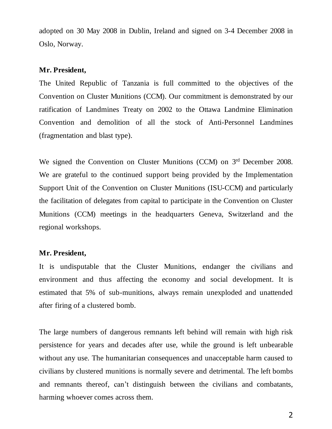adopted on 30 May 2008 in Dublin, Ireland and signed on 3-4 December 2008 in Oslo, Norway.

#### **Mr. President,**

The United Republic of Tanzania is full committed to the objectives of the Convention on Cluster Munitions (CCM). Our commitment is demonstrated by our ratification of Landmines Treaty on 2002 to the Ottawa Landmine Elimination Convention and demolition of all the stock of Anti-Personnel Landmines (fragmentation and blast type).

We signed the Convention on Cluster Munitions (CCM) on 3<sup>rd</sup> December 2008. We are grateful to the continued support being provided by the Implementation Support Unit of the Convention on Cluster Munitions (ISU-CCM) and particularly the facilitation of delegates from capital to participate in the Convention on Cluster Munitions (CCM) meetings in the headquarters Geneva, Switzerland and the regional workshops.

### **Mr. President,**

It is undisputable that the Cluster Munitions, endanger the civilians and environment and thus affecting the economy and social development. It is estimated that 5% of sub-munitions, always remain unexploded and unattended after firing of a clustered bomb.

The large numbers of dangerous remnants left behind will remain with high risk persistence for years and decades after use, while the ground is left unbearable without any use. The humanitarian consequences and unacceptable harm caused to civilians by clustered munitions is normally severe and detrimental. The left bombs and remnants thereof, can't distinguish between the civilians and combatants, harming whoever comes across them.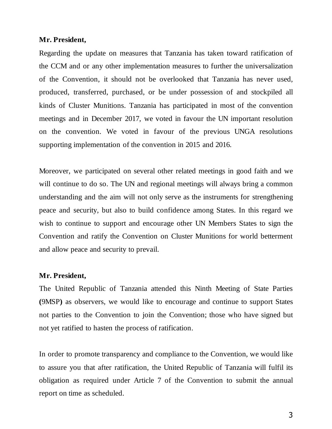#### **Mr. President,**

Regarding the update on measures that Tanzania has taken toward ratification of the CCM and or any other implementation measures to further the universalization of the Convention, it should not be overlooked that Tanzania has never used, produced, transferred, purchased, or be under possession of and stockpiled all kinds of Cluster Munitions. Tanzania has participated in most of the convention meetings and in December 2017, we voted in favour the UN important resolution on the convention. We voted in favour of the previous UNGA resolutions supporting implementation of the convention in 2015 and 2016.

Moreover, we participated on several other related meetings in good faith and we will continue to do so. The UN and regional meetings will always bring a common understanding and the aim will not only serve as the instruments for strengthening peace and security, but also to build confidence among States. In this regard we wish to continue to support and encourage other UN Members States to sign the Convention and ratify the Convention on Cluster Munitions for world betterment and allow peace and security to prevail.

#### **Mr. President,**

The United Republic of Tanzania attended this Ninth Meeting of State Parties **(**9MSP**)** as observers, we would like to encourage and continue to support States not parties to the Convention to join the Convention; those who have signed but not yet ratified to hasten the process of ratification.

In order to promote transparency and compliance to the Convention, we would like to assure you that after ratification, the United Republic of Tanzania will fulfil its obligation as required under Article 7 of the Convention to submit the annual report on time as scheduled.